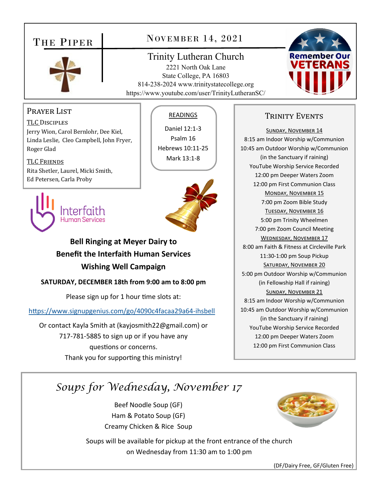## THE PIPER



### NOVEMBER 14, 2021

#### Trinity Lutheran Church

2221 North Oak Lane State College, PA 16803 814-238-2024 www.trinitystatecollege.org https://www.youtube.com/user/TrinityLutheranSC/



#### Prayer List

TLC DISCIPLES Jerry Wion, Carol Bernlohr, Dee Kiel, Linda Leslie, Cleo Campbell, John Fryer, Roger Glad

TLC FRIENDS Rita Shetler, Laurel, Micki Smith, Ed Petersen, Carla Proby

# Human Services

#### READINGS

Daniel 12:1‐3 Psalm 16 Hebrews 10:11‐25 Mark 13:1‐8

### **Bell Ringing at Meyer Dairy to Benefit the Interfaith Human Services Wishing Well Campaign**

**SATURDAY, DECEMBER 18th from 9:00 am to 8:00 pm** 

Please sign up for 1 hour time slots at:

https://www.signupgenius.com/go/4090c4facaa29a64-ihsbell

Or contact Kayla Smith at (kayjosmith22@gmail.com) or 717‐781‐5885 to sign up or if you have any questions or concerns. Thank you for supporting this ministry!

#### TRINITY EVENTS

SUNDAY, NOVEMBER 14 8:15 am Indoor Worship w/Communion 10:45 am Outdoor Worship w/Communion (in the Sanctuary if raining) YouTube Worship Service Recorded 12:00 pm Deeper Waters Zoom 12:00 pm First Communion Class MONDAY, NOVEMBER 15 7:00 pm Zoom Bible Study TUESDAY, NOVEMBER 16 5:00 pm Trinity Wheelmen 7:00 pm Zoom Council Meeting WEDNESDAY, NOVEMBER 17 8:00 am Faith & Fitness at Circleville Park 11:30‐1:00 pm Soup Pickup SATURDAY, NOVEMBER 20 5:00 pm Outdoor Worship w/Communion (in Fellowship Hall if raining) SUNDAY, NOVEMBER 21 8:15 am Indoor Worship w/Communion 10:45 am Outdoor Worship w/Communion (in the Sanctuary if raining) YouTube Worship Service Recorded 12:00 pm Deeper Waters Zoom 12:00 pm First Communion Class

# *Soups for Wednesday, November 17*

Beef Noodle Soup (GF) Ham & Potato Soup (GF) Creamy Chicken & Rice Soup

Soups will be available for pickup at the front entrance of the church on Wednesday from 11:30 am to 1:00 pm



(DF/Dairy Free, GF/Gluten Free)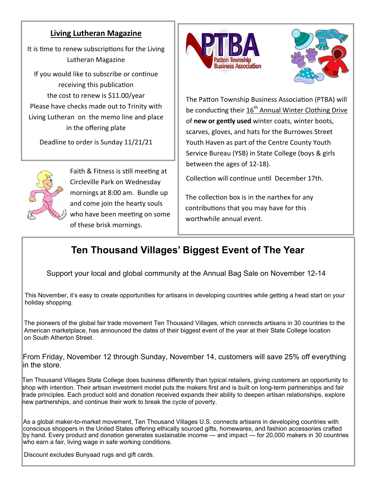#### **Living Lutheran Magazine**

It is time to renew subscriptions for the Living Lutheran Magazine

If you would like to subscribe or continue receiving this publication the cost to renew is \$11.00/year Please have checks made out to Trinity with Living Lutheran on the memo line and place in the offering plate

Deadline to order is Sunday 11/21/21



Faith & Fitness is still meeting at Circleville Park on Wednesday mornings at 8:00 am. Bundle up and come join the hearty souls who have been meeting on some of these brisk mornings.





The Patton Township Business Association (PTBA) will be conducting their 16<sup>th</sup> Annual Winter Clothing Drive of **new or gently used** winter coats, winter boots, scarves, gloves, and hats for the Burrowes Street Youth Haven as part of the Centre County Youth Service Bureau (YSB) in State College (boys & girls between the ages of 12‐18).

Collection will continue until December 17th.

The collection box is in the narthex for any contributions that you may have for this worthwhile annual event.

# **Ten Thousand Villages' Biggest Event of The Year**

Support your local and global community at the Annual Bag Sale on November 12-14

This November, it's easy to create opportunities for artisans in developing countries while getting a head start on your holiday shopping.

The pioneers of the global fair trade movement Ten Thousand Villages, which connects artisans in 30 countries to the American marketplace, has announced the dates of their biggest event of the year at their State College location on South Atherton Street.

From Friday, November 12 through Sunday, November 14, customers will save 25% off everything in the store.

Ten Thousand Villages State College does business differently than typical retailers, giving customers an opportunity to shop with intention. Their artisan investment model puts the makers first and is built on long-term partnerships and fair trade principles. Each product sold and donation received expands their ability to deepen artisan relationships, explore new partnerships, and continue their work to break the cycle of poverty.

As a global maker-to-market movement, Ten Thousand Villages U.S. connects artisans in developing countries with conscious shoppers in the United States offering ethically sourced gifts, homewares, and fashion accessories crafted by hand. Every product and donation generates sustainable income — and impact — for 20,000 makers in 30 countries who earn a fair, living wage in safe working conditions.

Discount excludes Bunyaad rugs and gift cards.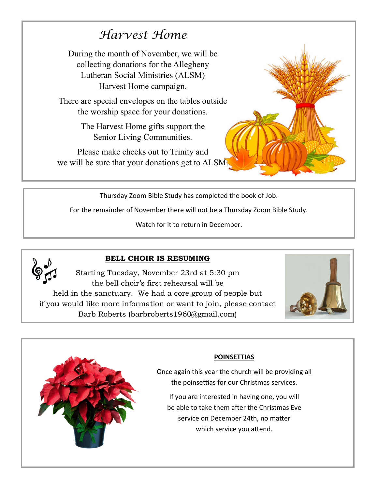# *Harvest Home*

During the month of November, we will be collecting donations for the Allegheny Lutheran Social Ministries (ALSM) Harvest Home campaign.

There are special envelopes on the tables outside the worship space for your donations.

> The Harvest Home gifts support the Senior Living Communities.

Please make checks out to Trinity and we will be sure that your donations get to ALSM.



Thursday Zoom Bible Study has completed the book of Job.

For the remainder of November there will not be a Thursday Zoom Bible Study.

Watch for it to return in December.



#### **BELL CHOIR IS RESUMING**

Starting Tuesday, November 23rd at 5:30 pm the bell choir's first rehearsal will be held in the sanctuary. We had a core group of people but if you would like more information or want to join, please contact Barb Roberts (barbroberts1960@gmail.com)





#### **POINSETTIAS**

Once again this year the church will be providing all the poinsettias for our Christmas services.

If you are interested in having one, you will be able to take them after the Christmas Eve service on December 24th, no matter which service you attend.